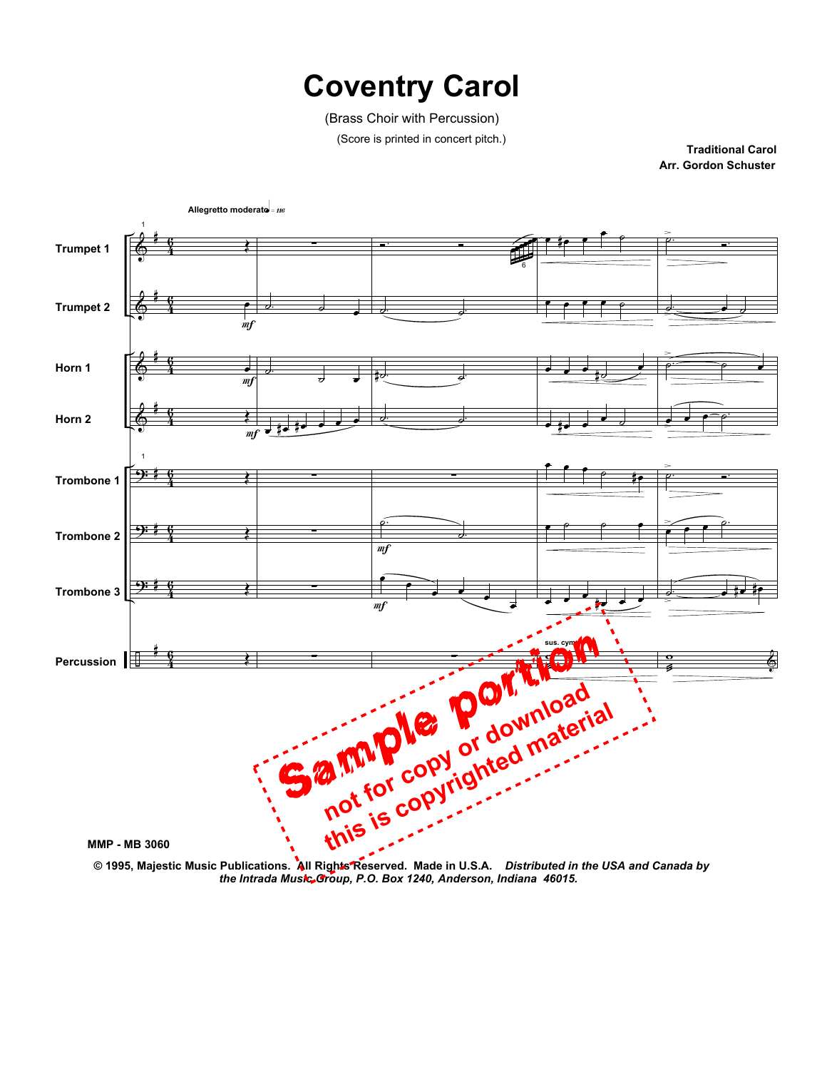## **Coventry Carol**

(Brass Choir with Percussion)

(Score is printed in concert pitch.)

**Arr. Gordon Schuster Traditional Carol**



 **<sup>© 1995,</sup> Majestic Music Publications. All Rights Reserved. Made in U.S.A.** *Distributed in the USA and Canada by the Intrada Music Group, P.O. Box 1240, Anderson, Indiana 46015.*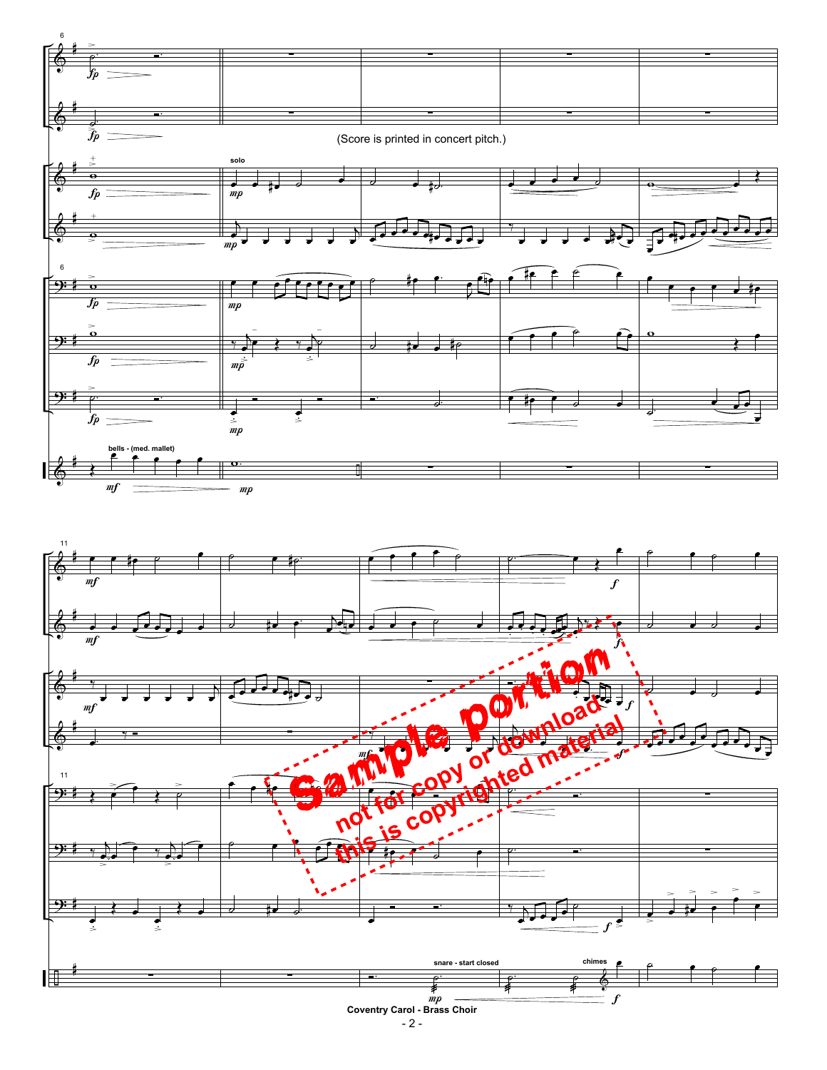

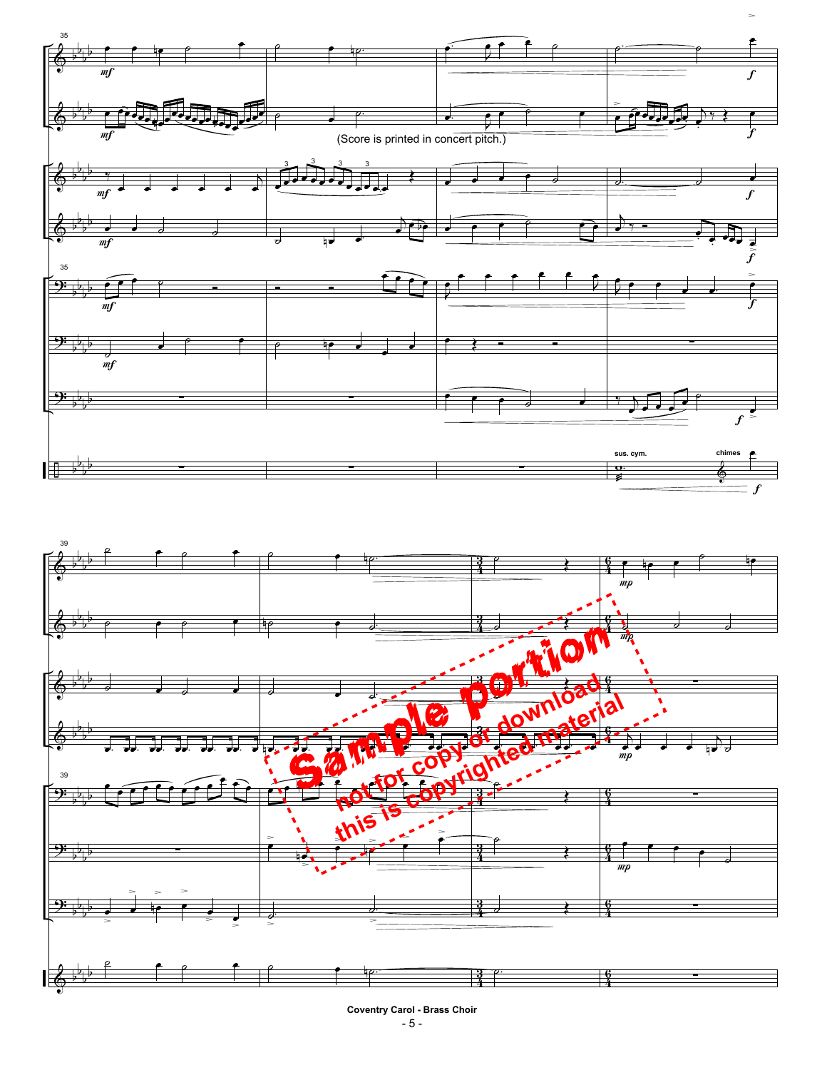

- 5 - **Coventry Carol - Brass Choir**